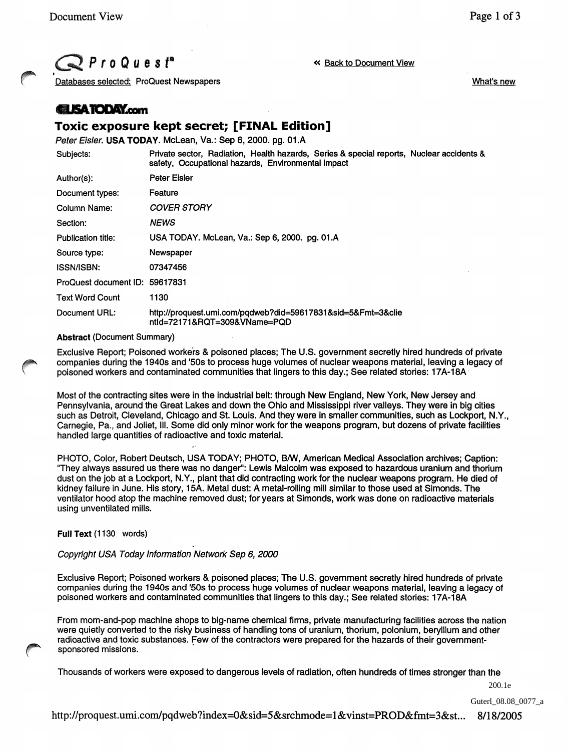,

What's new

 $\mathbb{P}$  P r o Q u e s  $f^{\circ}$  (  $\sim$  Back to Document View

Databases selected: ProQuest Newspapers

## **ELISATODAY.com**

# **Toxic exposure kept secret; [FINAL Edition]**

Peter Eisler. USA TODAY. McLean, Va.: Sep 6, 2000. pg. 01.A

| Subjects:                      | Private sector, Radiation, Health hazards, Series & special reports, Nuclear accidents &<br>safety, Occupational hazards, Environmental impact |
|--------------------------------|------------------------------------------------------------------------------------------------------------------------------------------------|
| Author(s):                     | Peter Eisler                                                                                                                                   |
| Document types:                | Feature                                                                                                                                        |
| Column Name:                   | <b>COVER STORY</b>                                                                                                                             |
| Section:                       | <b>NEWS</b>                                                                                                                                    |
| <b>Publication title:</b>      | USA TODAY. McLean, Va.: Sep 6, 2000. pg. 01.A                                                                                                  |
| Source type:                   | Newspaper                                                                                                                                      |
| <b>ISSN/ISBN:</b>              | 07347456                                                                                                                                       |
| ProQuest document ID: 59617831 |                                                                                                                                                |
| <b>Text Word Count</b>         | 1130                                                                                                                                           |
| Document URL:                  | http://proquest.umi.com/pgdweb?did=59617831&sid=5&Fmt=3&clie<br>ntld=72171&RQT=309&VName=PQD                                                   |

#### Abstract (Document Summary)

Exclusive Report; Poisoned workers & poisoned places; The U.S. government secretly hired hundreds of private companies during the 1940s and '50s to process huge volumes of nuclear weapons material, leaving a legacy of poisoned workers and contaminated communities that lingers to this day.; See related stories: 17A-18A

Most of the contracting sites were in the industrial belt: through New England, New York, New Jersey and Pennsylvania, around the Great Lakes and down the Ohio and Mississippi river valleys. They were in big cities such as Detroit, Cleveland, Chicago and St. Louis. And they were in smaller communities, such as Lockport, N.Y., Carnegie, Pa., and Joliet, III. Some did only minor work for the weapons program, but dozens of private facilities handled large quantities of radioactive and toxic material.

PHOTO, Color, Robert Deutsch, USA TODAY; PHOTO, 8IW, American Medical Association archives; Caption: "They always assured us there was no danger": Lewis Malcolm was exposed to hazardous uranium and thorium dust on the job at a Lockport, N.Y., plant that did contracting work for the nuclear weapons program. He died of kidney failure in June. His story, 15A. Metal dust: A metal-rOiling mill similar to those used at Simonds. The ventilator hood atop the machine removed dust; for years at Simonds, work was done on radioactive materials using unventilated mills.

#### Full Text (1130 words)

### Copyright USA Today Information Network Sep 6, 2000

Exclusive Report; Poisoned workers & poisoned places; The U.S. government secretly hired hundreds of private companies during the 1940s and '50s to process huge volumes of nuclear weapons material, leaving a legacy of poisoned workers and contaminated communities that lingers to this day.; See related stories: 17A-18A

From mom-and-pop machine shops to big-name chemical firms, private manufacturing facilities across the nation were quietly converted to the risky business of handling tons of uranium, thorium, polonium, beryllium and other radioactive and toxic substances. few of the contractors were prepared for the hazards of their governmentsponsored missions.

Thousands of workers were exposed to dangerous levels of radiation, often hundreds of times stronger than the

200.1e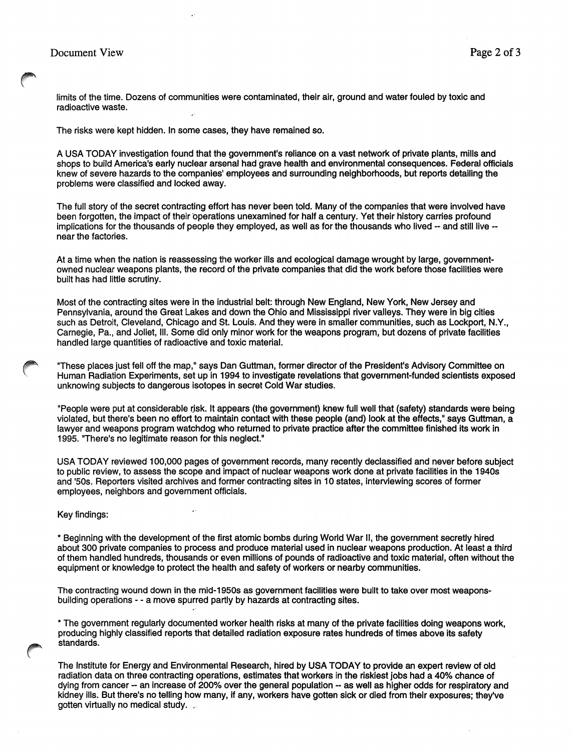limits of the time. Dozens of communities were contaminated, their air, ground and water fouled by toxic and radioactive waste.

The risks were kept hidden. In some cases, they have remained so.

A USA TODAY investigation found that the government's reliance on a vast network of private plants, mills and shops to build America's early nuclear arsenal had grave health and environmental consequences. Federal officials knew of severe hazards to the companies' employees and surrounding neighborhoods, but reports detailing the problems were classified and locked away.

The full story of the secret contracting effort has never been told. Many of the companies that were involved have been forgotten, the impact of their operations unexamined for half a century. Yet their history carries profound implications for the thousands of people they employed, as well as for the thousands who lived -- and still live - near the factories.

At a time when the nation is reassessing the worker ills and ecological damage wrought by large, governmentowned nuclear weapons plants, the record of the private companies that did the work before those facilities were built has had little scrutiny.

Most of the contracting sites were in the industrial belt: through New England, New York, New Jersey and Pennsylvania, around the Great Lakes and down the Ohio and Mississippi river valleys. They were in big cities such as Detroit, Cleveland, Chicago and St. Louis. And they were in smaller communities, such as Lockport, N.Y., Carnegie, Pa., and Joliet, III. Some did only minor work for the weapons program, but dozens of private facilities handled large quantities of radioactive and toxic material.

"These places just fell off the map," says Dan Guttman, former director of the President's Advisory Committee on Human Radiation Experiments, set up in 1994 to investigate revelations that government-funded scientists exposed unknowing subjects to dangerous isotopes in secret Cold War studies.

"People were put at considerable risk. It appears (the government) knew full well that (safety) standards were being violated, but there's been no effort to maintain contact with these people (and) look at the effects," says Guttman, a lawyer and weapons program watchdog who returned to private practice after the committee finished its work in 1995. "There's no legitimate reason for this neglect."

USA TODAY reviewed 100,000 pages of government records, many recently declassified and never before subject to public review, to assess the scope and impact of nuclear weapons work done at private facilities in the 1940s and '50s. Reporters visited archives and former contracting sites in 10 states, interviewing scores of former employees, neighbors and government officials.

Key findings:

\* Beginning with the development of the first atomic bombs during World War II, the government secretly hired about 300 private companies to process and produce material used in nuclear weapons production. At least a third of them handled hundreds, thousands or even millions of pounds of radioactive and toxic material, often without the equipment or knowledge to protect the health and safety of workers or nearby communities.

The contracting wound down in the mid-1950s as government facilities were built to take over most weaponsbuilding operations - - a move spurred partly by hazards at contracting sites.

\* The government regularly documented worker health risks at many of the private facilities doing weapons work, producing highly classified reports that detailed radiation exposure rates hundreds of times above its safety standards.

The Institute for Energy and Environmental Research, hired by USA TODAY to provide an expert review of old radiation data on three contracting operations, estimates that workers in the riskiest jobs had a 40% chance of dying from cancer -- an increase of 200% over the general population -- as well as higher odds for respiratory and kidney ills. But there's no telling how many, if any, workers have gotten sick or died from their exposures; they've gotten virtually no medical study. .